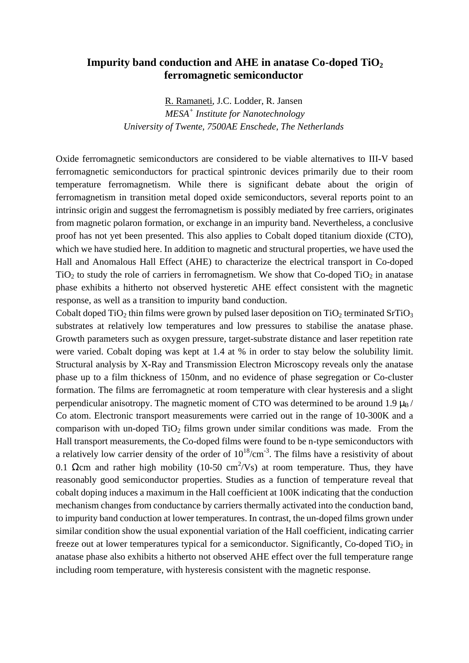## **Impurity band conduction and AHE in anatase Co-doped TiO<sup>2</sup> ferromagnetic semiconductor**

R. Ramaneti, J.C. Lodder, R. Jansen *MESA<sup>+</sup> Institute for Nanotechnology University of Twente, 7500AE Enschede, The Netherlands*

Oxide ferromagnetic semiconductors are considered to be viable alternatives to III-V based ferromagnetic semiconductors for practical spintronic devices primarily due to their room temperature ferromagnetism. While there is significant debate about the origin of ferromagnetism in transition metal doped oxide semiconductors, several reports point to an intrinsic origin and suggest the ferromagnetism is possibly mediated by free carriers, originates from magnetic polaron formation, or exchange in an impurity band. Nevertheless, a conclusive proof has not yet been presented. This also applies to Cobalt doped titanium dioxide (CTO), which we have studied here. In addition to magnetic and structural properties, we have used the Hall and Anomalous Hall Effect (AHE) to characterize the electrical transport in Co-doped  $TiO<sub>2</sub>$  to study the role of carriers in ferromagnetism. We show that Co-doped  $TiO<sub>2</sub>$  in anatase phase exhibits a hitherto not observed hysteretic AHE effect consistent with the magnetic response, as well as a transition to impurity band conduction.

Cobalt doped  $TiO<sub>2</sub>$  thin films were grown by pulsed laser deposition on  $TiO<sub>2</sub>$  terminated SrTiO<sub>3</sub> substrates at relatively low temperatures and low pressures to stabilise the anatase phase. Growth parameters such as oxygen pressure, target-substrate distance and laser repetition rate were varied. Cobalt doping was kept at 1.4 at % in order to stay below the solubility limit. Structural analysis by X-Ray and Transmission Electron Microscopy reveals only the anatase phase up to a film thickness of 150nm, and no evidence of phase segregation or Co-cluster formation. The films are ferromagnetic at room temperature with clear hysteresis and a slight perpendicular anisotropy. The magnetic moment of CTO was determined to be around 1.9  $\mu_B$  / Co atom. Electronic transport measurements were carried out in the range of 10-300K and a comparison with un-doped  $TiO<sub>2</sub>$  films grown under similar conditions was made. From the Hall transport measurements, the Co-doped films were found to be n-type semiconductors with a relatively low carrier density of the order of  $10^{18}$ /cm<sup>-3</sup>. The films have a resistivity of about 0.1 Ωcm and rather high mobility (10-50 cm<sup>2</sup>/Vs) at room temperature. Thus, they have reasonably good semiconductor properties. Studies as a function of temperature reveal that cobalt doping induces a maximum in the Hall coefficient at 100K indicating that the conduction mechanism changes from conductance by carriers thermally activated into the conduction band, to impurity band conduction at lower temperatures. In contrast, the un-doped films grown under similar condition show the usual exponential variation of the Hall coefficient, indicating carrier freeze out at lower temperatures typical for a semiconductor. Significantly, Co-doped  $TiO<sub>2</sub>$  in anatase phase also exhibits a hitherto not observed AHE effect over the full temperature range including room temperature, with hysteresis consistent with the magnetic response.